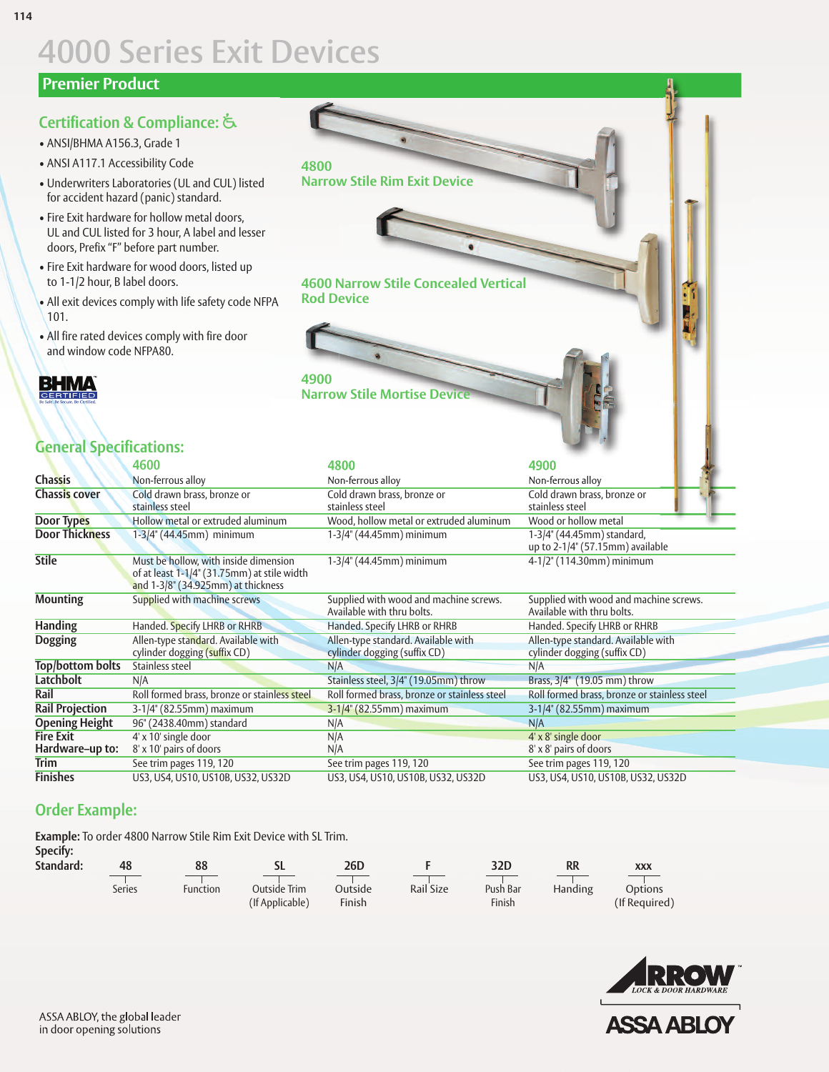# **4000 Series Exit Devices**

#### **Premier Product**

### **Certification & Compliance:**u

- ANSI/BHMA A156.3, Grade 1
- ANSI A117.1 Accessibility Code
- Underwriters Laboratories (UL and CUL) listed for accident hazard (panic) standard.
- Fire Exit hardware for hollow metal doors, UL and CUL listed for 3 hour, A label and lesser doors, Prefix "F" before part number.
- Fire Exit hardware for wood doors, listed up to 1-1/2 hour, B label doors.
- All exit devices comply with life safety code NFPA 101.
- All fire rated devices comply with fire door and window code NFPA80.

**BHMA** 

### **General Specifications:**

|                         | 4600                                                                                                                       | 4800                                                                 | 4900                                                                 |  |  |
|-------------------------|----------------------------------------------------------------------------------------------------------------------------|----------------------------------------------------------------------|----------------------------------------------------------------------|--|--|
| <b>Chassis</b>          | Non-ferrous alloy                                                                                                          | Non-ferrous alloy                                                    | Non-ferrous alloy                                                    |  |  |
| <b>Chassis cover</b>    | Cold drawn brass, bronze or<br>stainless steel                                                                             | Cold drawn brass, bronze or<br>stainless steel                       | Cold drawn brass, bronze or<br>stainless steel                       |  |  |
| Door Types              | Hollow metal or extruded aluminum                                                                                          | Wood, hollow metal or extruded aluminum                              | Wood or hollow metal                                                 |  |  |
| <b>Door Thickness</b>   | $1-3/4$ " (44.45mm) minimum                                                                                                | $1-3/4$ " (44.45mm) minimum                                          | 1-3/4" (44.45mm) standard,<br>up to $2-1/4$ " (57.15mm) available    |  |  |
| <b>Stile</b>            | Must be hollow, with inside dimension<br>of at least 1-1/4" (31.75mm) at stile width<br>and 1-3/8" (34.925mm) at thickness | 1-3/4" (44.45mm) minimum                                             | 4-1/2" (114.30mm) minimum                                            |  |  |
| <b>Mounting</b>         | Supplied with machine screws                                                                                               | Supplied with wood and machine screws.<br>Available with thru bolts. | Supplied with wood and machine screws.<br>Available with thru bolts. |  |  |
| <b>Handing</b>          | Handed. Specify LHRB or RHRB                                                                                               | Handed. Specify LHRB or RHRB                                         | Handed. Specify LHRB or RHRB                                         |  |  |
| <b>Dogging</b>          | Allen-type standard. Available with<br>cylinder dogging (suffix CD)                                                        | Allen-type standard. Available with<br>cylinder dogging (suffix CD)  | Allen-type standard. Available with<br>cylinder dogging (suffix CD)  |  |  |
| <b>Top/bottom bolts</b> | Stainless steel                                                                                                            | N/A                                                                  | N/A                                                                  |  |  |
| <b>Latchbolt</b>        | N/A                                                                                                                        | Stainless steel, 3/4" (19.05mm) throw                                | Brass, 3/4" (19.05 mm) throw                                         |  |  |
| Rail                    | Roll formed brass, bronze or stainless steel                                                                               | Roll formed brass, bronze or stainless steel                         | Roll formed brass, bronze or stainless steel                         |  |  |
| <b>Rail Projection</b>  | 3-1/4" (82.55mm) maximum                                                                                                   | 3-1/4" (82.55mm) maximum                                             | 3-1/4" (82.55mm) maximum                                             |  |  |
| <b>Opening Height</b>   | 96" (2438.40mm) standard                                                                                                   | N/A                                                                  | N/A                                                                  |  |  |
| <b>Fire Exit</b>        | 4' x 10' single door                                                                                                       | N/A                                                                  | 4' x 8' single door                                                  |  |  |
| Hardware-up to:         | 8' x 10' pairs of doors                                                                                                    | N/A                                                                  | 8' x 8' pairs of doors                                               |  |  |
| Trim                    | See trim pages 119, 120                                                                                                    | See trim pages 119, 120                                              | See trim pages 119, 120                                              |  |  |
| <b>Finishes</b>         | US3, US4, US10, US10B, US32, US32D                                                                                         | US3, US4, US10, US10B, US32, US32D                                   | US3, US4, US10, US10B, US32, US32D                                   |  |  |

**4600 Narrow Stile Concealed Vertical**

**Narrow Stile Mortise Device**

**Narrow Stile Rim Exit Device**

**Rod Device**

**4900**

**4800**

### **Order Example:**

**Example:** To order 4800 Narrow Stile Rim Exit Device with SL Trim.

**Specify:**

| Standard: |               | 88       | ◡               | 26D     |           | 32D      | RR      | XXX           |  |
|-----------|---------------|----------|-----------------|---------|-----------|----------|---------|---------------|--|
|           |               |          |                 |         |           |          |         |               |  |
|           | <b>Series</b> | Function | Outside Trim    | Outside | Rail Size | Push Bar | Handing | Options       |  |
|           |               |          | (If Applicable) | Finish  |           | Finish   |         | (If Required) |  |

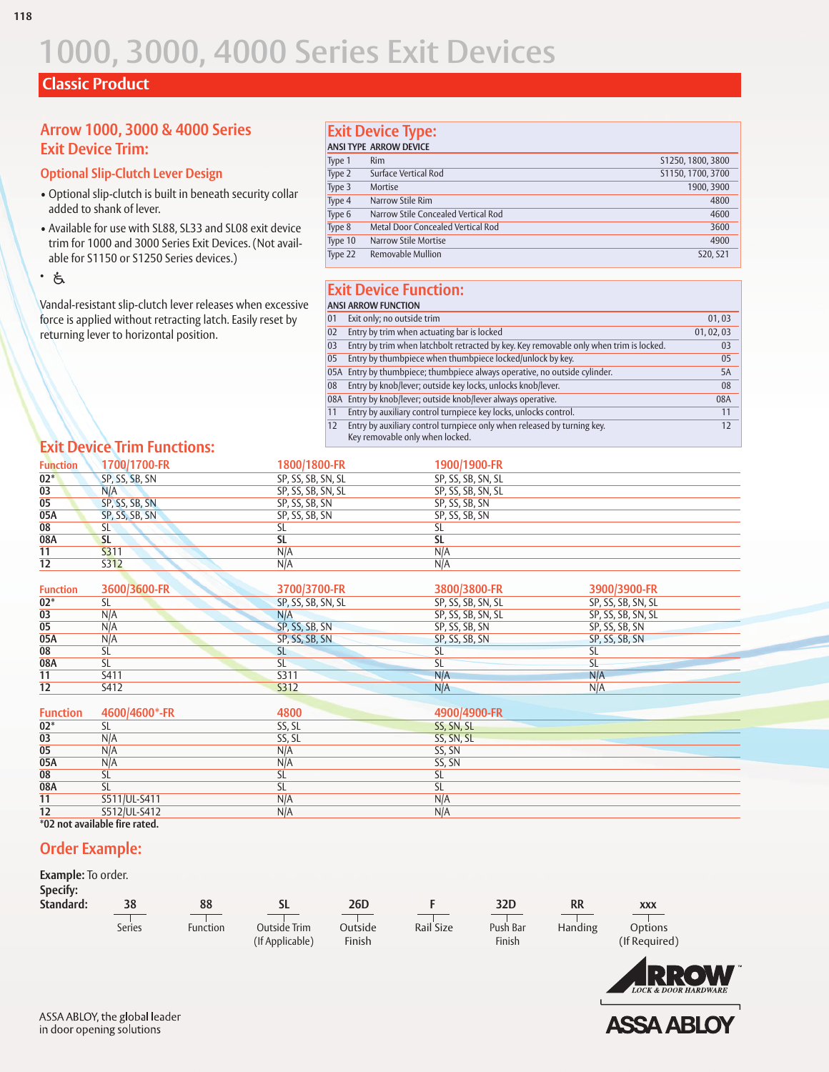## **Classic Product**

#### **Arrow 1000, 3000 & 4000 Series Exit Device Trim:**

#### **Optional Slip-Clutch Lever Design**

- Optional slip-clutch is built in beneath security collar added to shank of lever.
- Available for use with SL88, SL33 and SL08 exit device trim for 1000 and 3000 Series Exit Devices. (Not available for S1150 or S1250 Series devices.)
- $\cdot$  &

Vandal-resistant slip-clutch lever releases when excessive force is applied without retracting latch. Easily reset by returning lever to horizontal position.

#### **Exit Device Type:**

| <b>ANSI TYPE ARROW DEVICE</b> |                                     |                   |  |  |  |  |
|-------------------------------|-------------------------------------|-------------------|--|--|--|--|
| Type 1                        | <b>Rim</b>                          | S1250, 1800, 3800 |  |  |  |  |
| Type 2                        | Surface Vertical Rod                | S1150, 1700, 3700 |  |  |  |  |
| Type 3                        | Mortise                             | 1900.3900         |  |  |  |  |
| Type 4                        | Narrow Stile Rim                    | 4800              |  |  |  |  |
| Type 6                        | Narrow Stile Concealed Vertical Rod | 4600              |  |  |  |  |
| Type 8                        | Metal Door Concealed Vertical Rod   | 3600              |  |  |  |  |
| Type 10                       | Narrow Stile Mortise                | 4900              |  |  |  |  |
| Type 22                       | Removable Mullion                   | S20, S21          |  |  |  |  |

### **Exit Device Function:**

|    | <b>ANSI ARROW FUNCTION</b>                                                             |            |
|----|----------------------------------------------------------------------------------------|------------|
| 01 | Exit only; no outside trim                                                             | 01,03      |
| 02 | Entry by trim when actuating bar is locked                                             | 01, 02, 03 |
| 03 | Entry by trim when latchbolt retracted by key. Key removable only when trim is locked. | 03         |
| 05 | Entry by thumbpiece when thumbpiece locked/unlock by key.                              | 05         |
|    | 05A Entry by thumbpiece; thumbpiece always operative, no outside cylinder.             | 5A         |
| 08 | Entry by knob/lever; outside key locks, unlocks knob/lever.                            | 08         |
|    | 08A Entry by knob/lever; outside knob/lever always operative.                          | 08A        |
| 11 | Entry by auxiliary control turnpiece key locks, unlocks control.                       | 11         |
| 12 | Entry by auxiliary control turnpiece only when released by turning key.                | 12         |
|    | Key removable only when locked.                                                        |            |

### **Exit Device Trim Functions:**

| <b>Function</b>      | 1700/1700-FR   | 1800/1800-FR       | 1900/1900-FR           |                    |
|----------------------|----------------|--------------------|------------------------|--------------------|
| $02*$                | SP, SS, SB, SN | SP, SS, SB, SN, SL | SP, SS, SB, SN, SL     |                    |
| 03                   | N/A            | SP, SS, SB, SN, SL | SP, SS, SB, SN, SL     |                    |
| $\overline{05}$      | SP, SS, SB, SN | SP, SS, SB, SN     | SP, SS, SB, SN         |                    |
| 05A                  | SP, SS, SB, SN | SP, SS, SB, SN     | SP, SS, SB, SN         |                    |
| $\overline{08}$      | <b>SL</b>      | <b>SL</b>          | SL                     |                    |
| 08A                  | <b>SL</b>      | $\overline{SL}$    | $\overline{\text{SL}}$ |                    |
| $\overline{11}$      | <b>S311</b>    | N/A                | N/A                    |                    |
| $\overline{12}$      | <b>S312</b>    | N/A                | N/A                    |                    |
|                      |                |                    |                        |                    |
| <b>Function</b>      | 3600/3600-FR   | 3700/3700-FR       | 3800/3800-FR           | 3900/3900-FR       |
| 02*                  | <b>SL</b>      | SP, SS, SB, SN, SL | SP, SS, SB, SN, SL     | SP, SS, SB, SN, SL |
| $\overline{03}$      | N/A            | N/A                | SP, SS, SB, SN, SL     | SP, SS, SB, SN, SL |
| $\overline{05}$      | N/A            | SP, SS, SB, SN     | SP, SS, SB, SN         | SP, SS, SB, SN     |
| 05A                  | N/A            | SP, SS, SB, SN     | SP, SS, SB, SN         | SP, SS, SB, SN     |
| $\overline{08}$      | SL             | <b>SL</b>          | <b>SL</b>              | <b>SL</b>          |
| 08A                  | SL             | SL                 | <b>SL</b>              | <b>SL</b>          |
| 11                   | 5411           | S311               | N/A                    | N/A                |
| $\overline{12}$      | S412           | <b>S312</b>        | N/A                    | N/A                |
|                      |                |                    |                        |                    |
| <b>Function</b>      | 4600/4600*-FR  | 4800               | 4900/4900-FR           |                    |
| 02*                  | <b>SL</b>      | SS, SL             | SS, SN, SL             |                    |
| 03                   | N/A            | SS, SL             | SS, SN, SL             |                    |
| 05                   | N/A            | N/A                | SS, SN                 |                    |
| 05A                  | N/A            | N/A                | SS, SN                 |                    |
| $\overline{08}$      | SL             | SL                 | <b>SL</b>              |                    |
| 08A                  | SL             | SL                 | SL                     |                    |
| 11                   | S511/UL-S411   | N/A                | N/A                    |                    |
| $\overline{12}$      | S512/UL-S412   | N/A                | N/A                    |                    |
| $\sim$ $\sim$ $\sim$ |                |                    |                        |                    |

**\*02 not available fire rated.**

#### **Order Example:**

| <b>Example:</b> To order.<br>Specify: |               |                 |                 |            |           |               |           |               |  |
|---------------------------------------|---------------|-----------------|-----------------|------------|-----------|---------------|-----------|---------------|--|
| Standard:                             | 38            | 88              | SL              | <b>26D</b> |           | 32D           | <b>RR</b> | <b>XXX</b>    |  |
|                                       | <b>Series</b> | <b>Function</b> | Outside Trim    | Outside    | Rail Size | Push Bar      | Handing   | Options       |  |
|                                       |               |                 | (If Applicable) | Finish     |           | <b>Finish</b> |           | (If Required) |  |



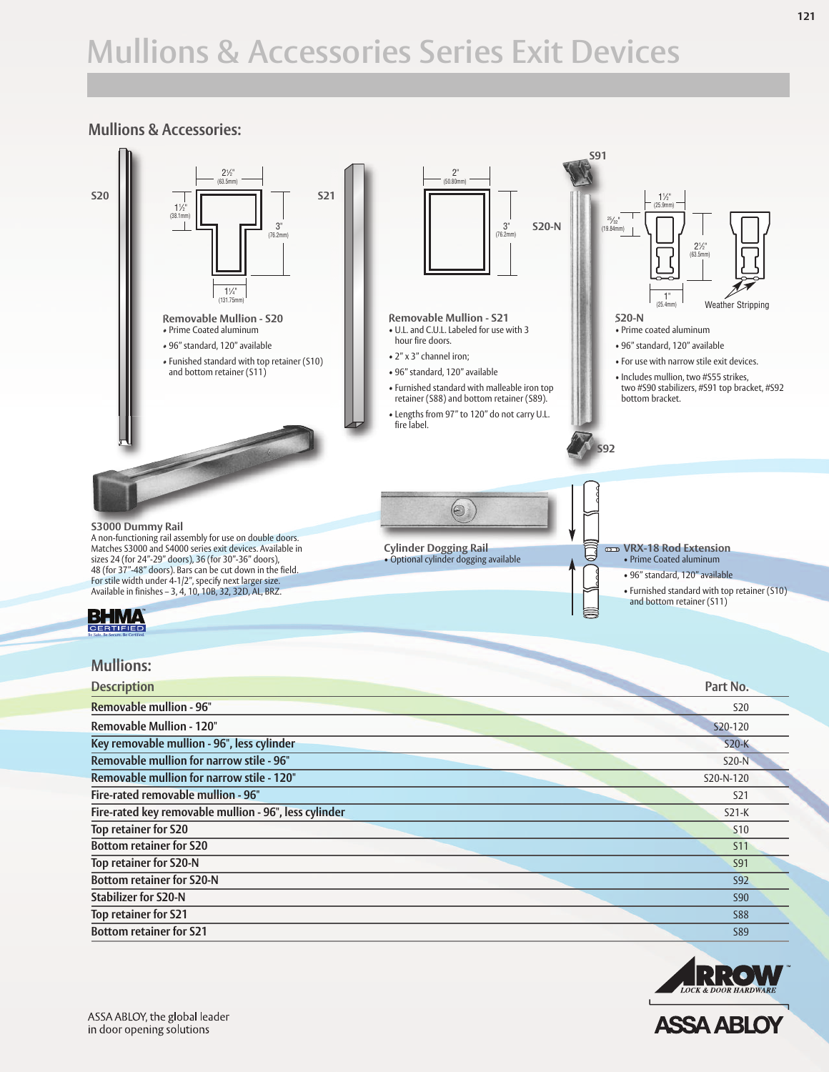# **Mullions & Accessories Series Exit Devices**

#### **Mullions & Accessories:**





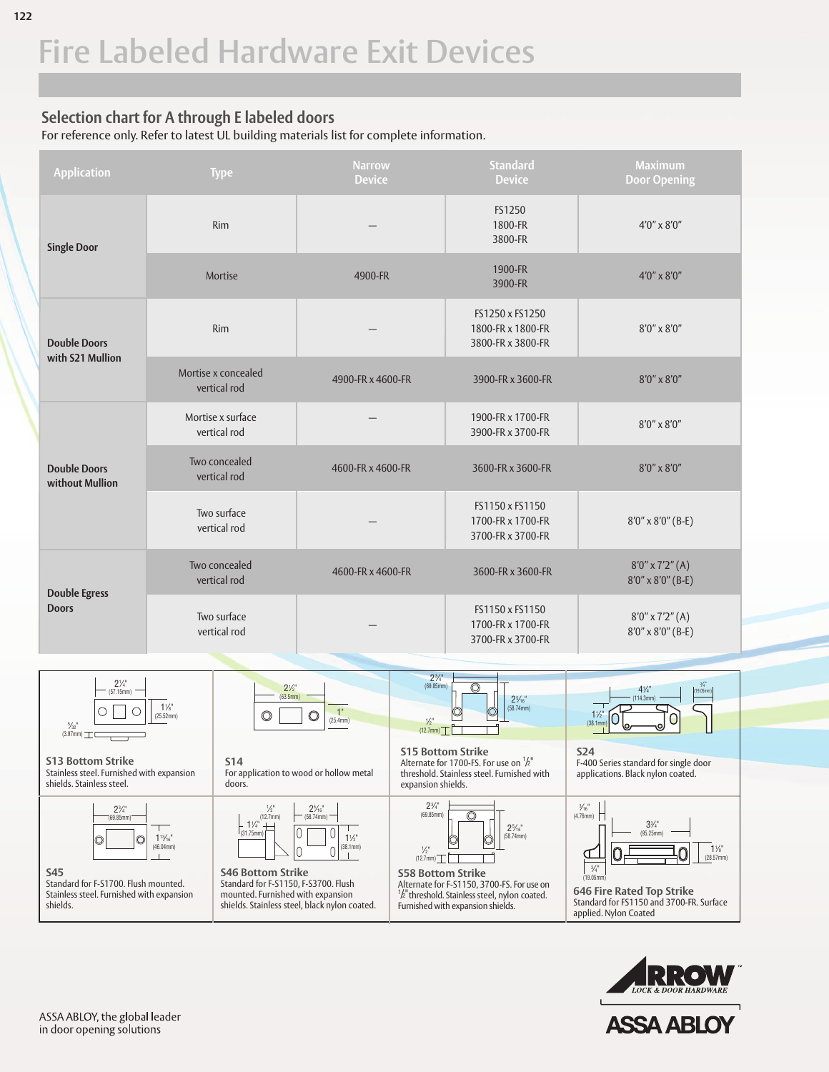## **Selection chart for A through E labeled doors**

For reference only. Refer to latest UL building materials list for complete information.





**ASSA ABL**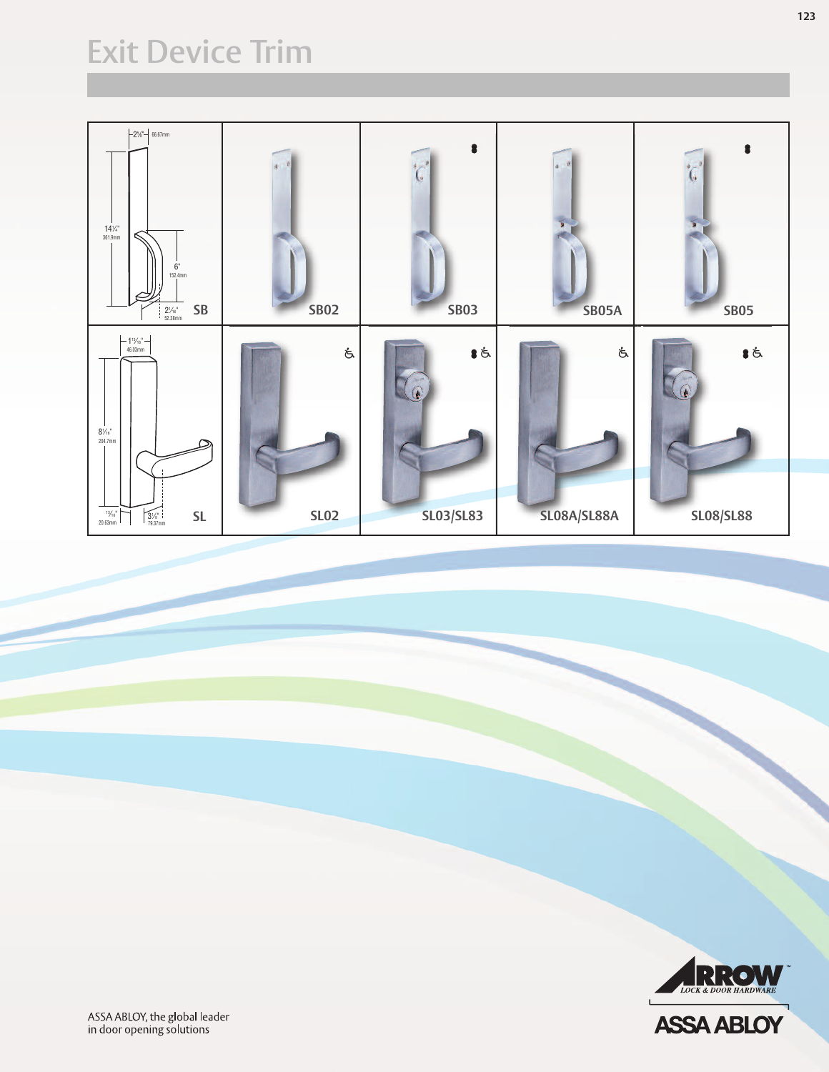## **Exit Device Trim**





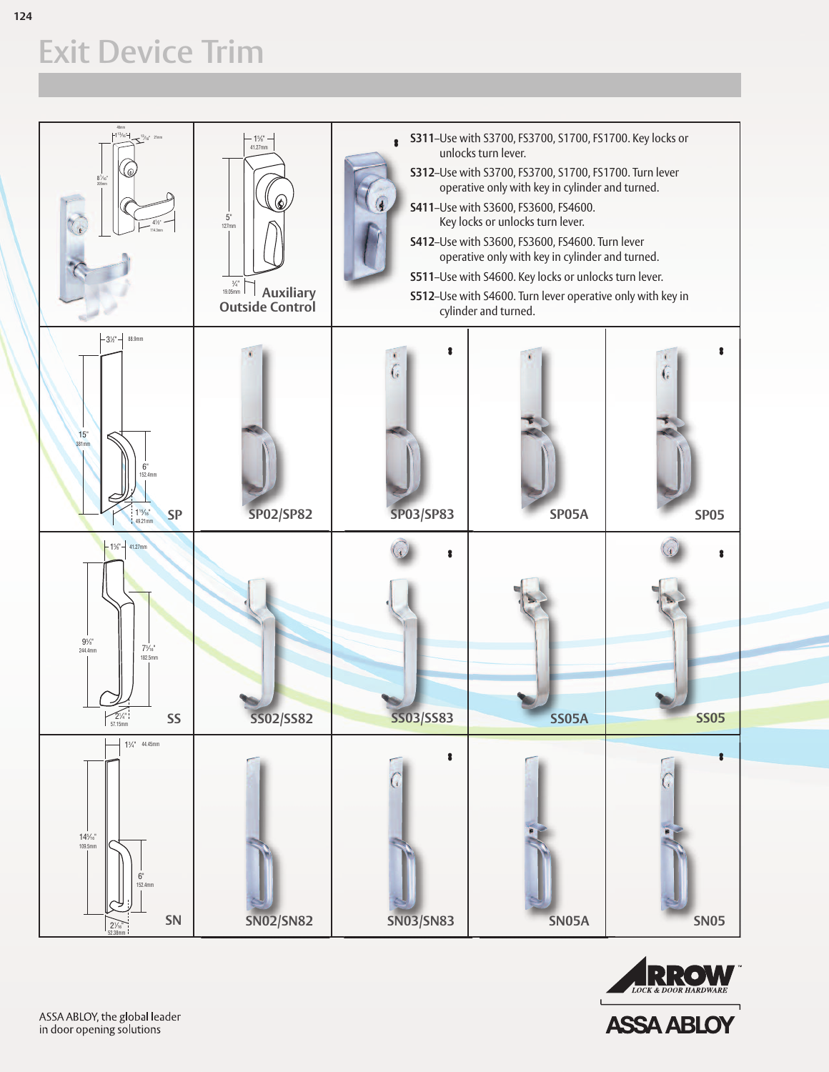# **Exit Device Trim**